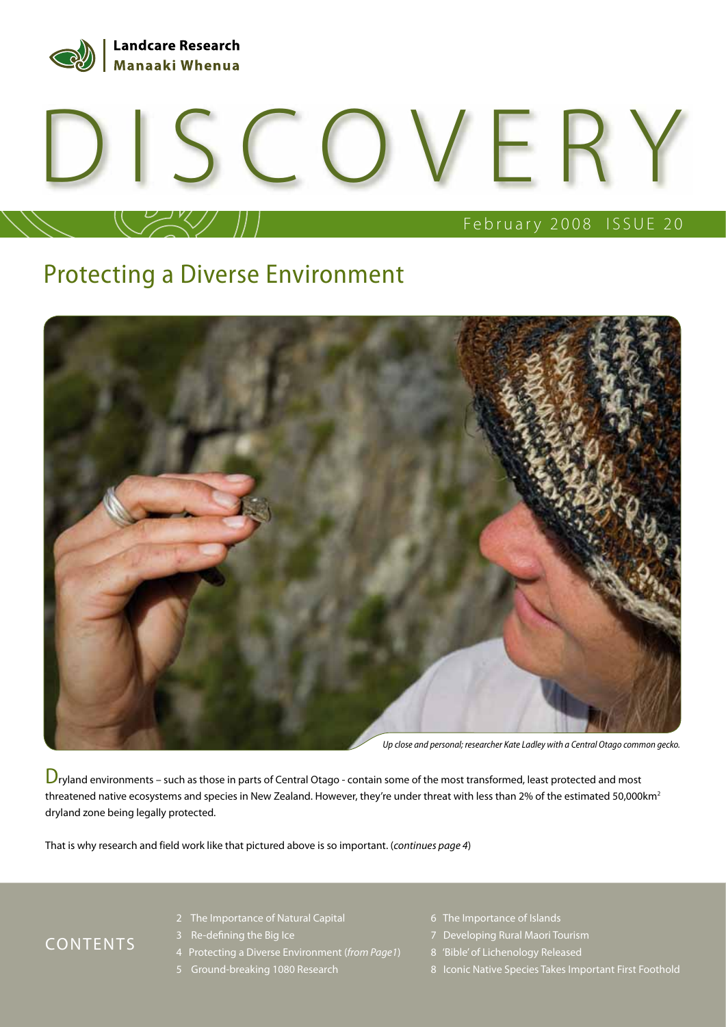

# DISCOVERY

## February 2008 ISSUE 20

#### Protecting a Diverse Environment



Up close and personal; researcher Kate Ladley with a Central Otago common gecko.

 $D_{ry}$ land environments – such as those in parts of Central Otago - contain some of the most transformed, least protected and most threatened native ecosystems and species in New Zealand. However, they're under threat with less than 2% of the estimated 50,000km<sup>2</sup> dryland zone being legally protected.

That is why research and field work like that pictured above is so important. (continues page 4)

#### CONTENTS

- 2 The Importance of Natural Capital
- 3 Re-defining the Big Ice
- 4 Protecting a Diverse Environment (from Page1)
- 5 Ground-breaking 1080 Research
- 6 The Importance of Islands
- 7 Developing Rural Maori Tourism
- 8 'Bible' of Lichenology Released
- 8 Iconic Native Species Takes Important First Foothold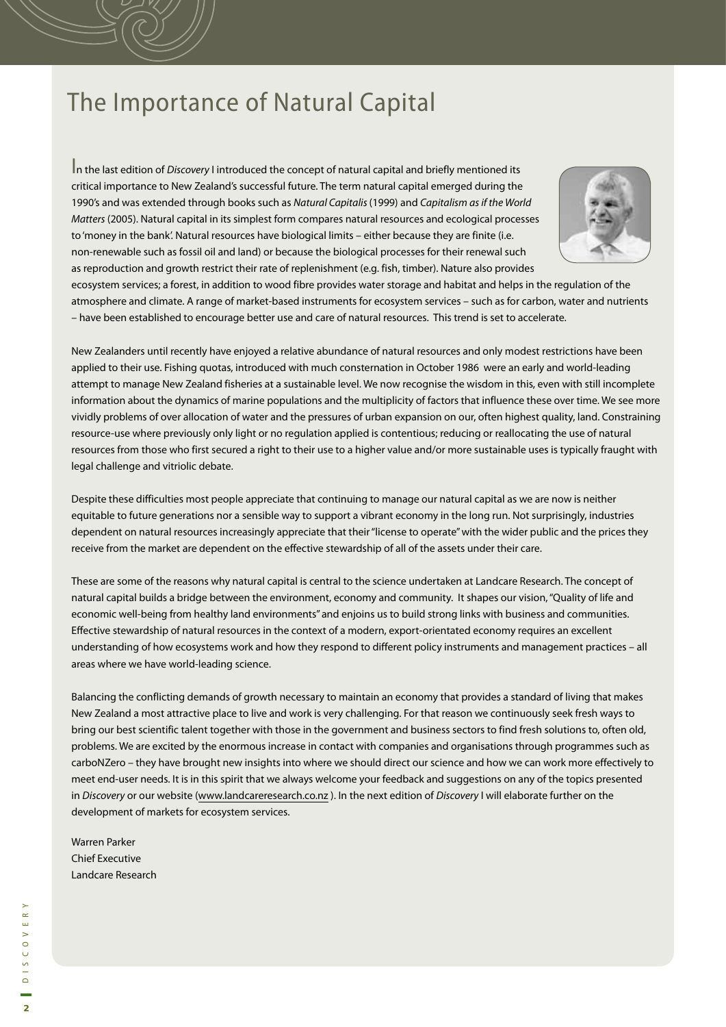#### The Importance of Natural Capital

In the last edition of Discovery I introduced the concept of natural capital and briefly mentioned its critical importance to New Zealand's successful future. The term natural capital emerged during the 1990's and was extended through books such as Natural Capitalis (1999) and Capitalism as if the World Matters (2005). Natural capital in its simplest form compares natural resources and ecological processes to 'money in the bank'. Natural resources have biological limits – either because they are finite (i.e. non-renewable such as fossil oil and land) or because the biological processes for their renewal such as reproduction and growth restrict their rate of replenishment (e.g. fish, timber). Nature also provides



ecosystem services; a forest, in addition to wood fibre provides water storage and habitat and helps in the regulation of the atmosphere and climate. A range of market-based instruments for ecosystem services – such as for carbon, water and nutrients – have been established to encourage better use and care of natural resources. This trend is set to accelerate.

New Zealanders until recently have enjoyed a relative abundance of natural resources and only modest restrictions have been applied to their use. Fishing quotas, introduced with much consternation in October 1986 were an early and world-leading attempt to manage New Zealand fisheries at a sustainable level. We now recognise the wisdom in this, even with still incomplete information about the dynamics of marine populations and the multiplicity of factors that influence these over time. We see more vividly problems of over allocation of water and the pressures of urban expansion on our, often highest quality, land. Constraining resource-use where previously only light or no regulation applied is contentious; reducing or reallocating the use of natural resources from those who first secured a right to their use to a higher value and/or more sustainable uses is typically fraught with legal challenge and vitriolic debate.

Despite these difficulties most people appreciate that continuing to manage our natural capital as we are now is neither equitable to future generations nor a sensible way to support a vibrant economy in the long run. Not surprisingly, industries dependent on natural resources increasingly appreciate that their "license to operate" with the wider public and the prices they receive from the market are dependent on the effective stewardship of all of the assets under their care.

These are some of the reasons why natural capital is central to the science undertaken at Landcare Research. The concept of natural capital builds a bridge between the environment, economy and community. It shapes our vision, "Quality of life and economic well-being from healthy land environments" and enjoins us to build strong links with business and communities. Effective stewardship of natural resources in the context of a modern, export-orientated economy requires an excellent understanding of how ecosystems work and how they respond to different policy instruments and management practices – all areas where we have world-leading science.

Balancing the conflicting demands of growth necessary to maintain an economy that provides a standard of living that makes New Zealand a most attractive place to live and work is very challenging. For that reason we continuously seek fresh ways to bring our best scientific talent together with those in the government and business sectors to find fresh solutions to, often old, problems. We are excited by the enormous increase in contact with companies and organisations through programmes such as carboNZero – they have brought new insights into where we should direct our science and how we can work more effectively to meet end-user needs. It is in this spirit that we always welcome your feedback and suggestions on any of the topics presented in Discovery or our website (www.landcareresearch.co.nz ). In the next edition of Discovery I will elaborate further on the development of markets for ecosystem services.

Warren Parker Chief Executive Landcare Research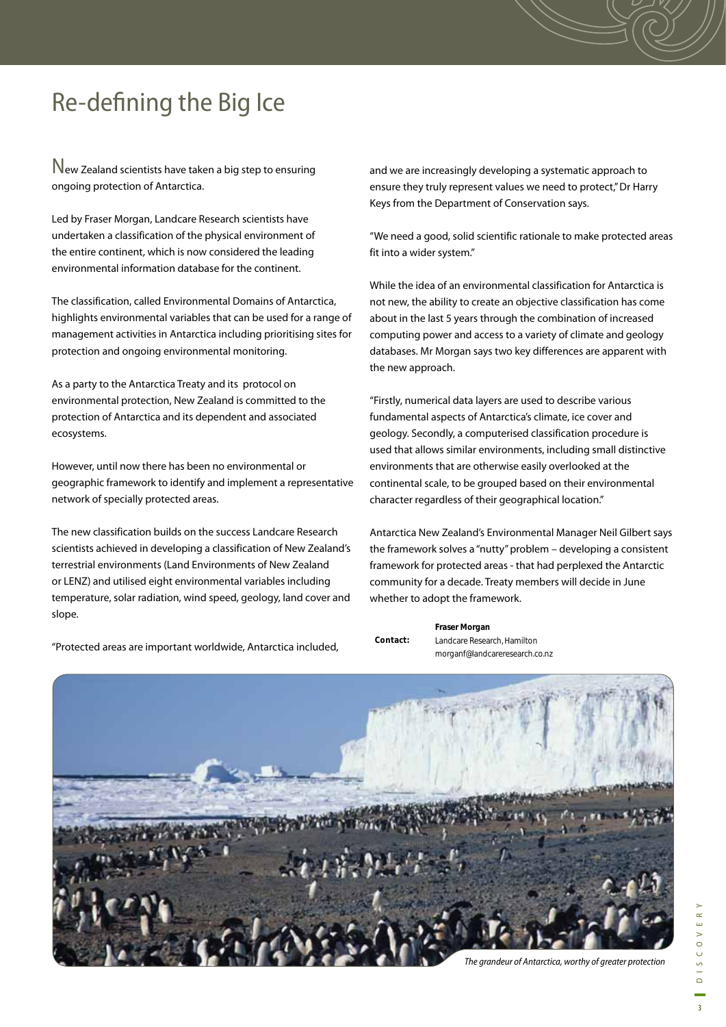### Re-defining the Big Ice

New Zealand scientists have taken a big step to ensuring ongoing protection of Antarctica.

Led by Fraser Morgan, Landcare Research scientists have undertaken a classification of the physical environment of the entire continent, which is now considered the leading environmental information database for the continent.

The classification, called Environmental Domains of Antarctica, highlights environmental variables that can be used for a range of management activities in Antarctica including prioritising sites for protection and ongoing environmental monitoring.

As a party to the Antarctica Treaty and its protocol on environmental protection, New Zealand is committed to the protection of Antarctica and its dependent and associated ecosystems.

However, until now there has been no environmental or geographic framework to identify and implement a representative network of specially protected areas.

The new classification builds on the success Landcare Research scientists achieved in developing a classification of New Zealand's terrestrial environments (Land Environments of New Zealand or LENZ) and utilised eight environmental variables including temperature, solar radiation, wind speed, geology, land cover and slope.

"Protected areas are important worldwide, Antarctica included,

and we are increasingly developing a systematic approach to ensure they truly represent values we need to protect," Dr Harry Keys from the Department of Conservation says.

"We need a good, solid scientific rationale to make protected areas fit into a wider system."

While the idea of an environmental classification for Antarctica is not new, the ability to create an objective classification has come about in the last 5 years through the combination of increased computing power and access to a variety of climate and geology databases. Mr Morgan says two key differences are apparent with the new approach.

"Firstly, numerical data layers are used to describe various fundamental aspects of Antarctica's climate, ice cover and geology. Secondly, a computerised classification procedure is used that allows similar environments, including small distinctive environments that are otherwise easily overlooked at the continental scale, to be grouped based on their environmental character regardless of their geographical location."

Antarctica New Zealand's Environmental Manager Neil Gilbert says the framework solves a "nutty" problem – developing a consistent framework for protected areas - that had perplexed the Antarctic community for a decade. Treaty members will decide in June whether to adopt the framework.

**Fraser Morgan**

Landcare Research, Hamilton morganf@landcareresearch.co.nz

| $H - I$ |  |
|---------|--|
|         |  |

**Contact:**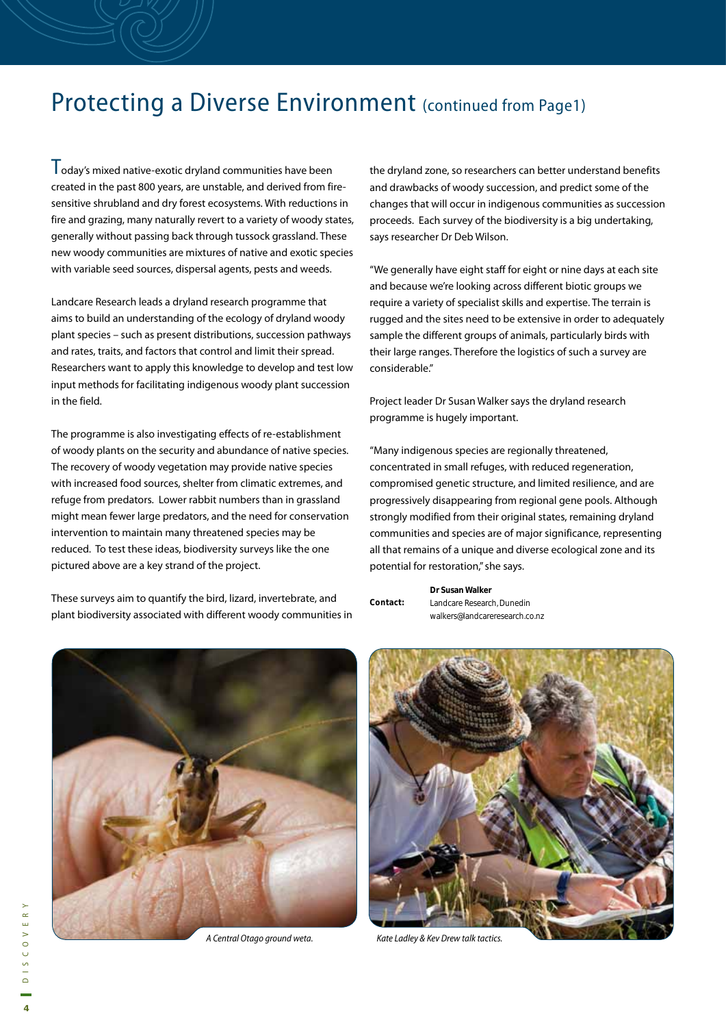#### Protecting a Diverse Environment (continued from Page1)

Today's mixed native-exotic dryland communities have been created in the past 800 years, are unstable, and derived from firesensitive shrubland and dry forest ecosystems. With reductions in fire and grazing, many naturally revert to a variety of woody states, generally without passing back through tussock grassland. These new woody communities are mixtures of native and exotic species with variable seed sources, dispersal agents, pests and weeds.

Landcare Research leads a dryland research programme that aims to build an understanding of the ecology of dryland woody plant species – such as present distributions, succession pathways and rates, traits, and factors that control and limit their spread. Researchers want to apply this knowledge to develop and test low input methods for facilitating indigenous woody plant succession in the field.

The programme is also investigating effects of re-establishment of woody plants on the security and abundance of native species. The recovery of woody vegetation may provide native species with increased food sources, shelter from climatic extremes, and refuge from predators. Lower rabbit numbers than in grassland might mean fewer large predators, and the need for conservation intervention to maintain many threatened species may be reduced. To test these ideas, biodiversity surveys like the one pictured above are a key strand of the project.

These surveys aim to quantify the bird, lizard, invertebrate, and plant biodiversity associated with different woody communities in the dryland zone, so researchers can better understand benefits and drawbacks of woody succession, and predict some of the changes that will occur in indigenous communities as succession proceeds. Each survey of the biodiversity is a big undertaking, says researcher Dr Deb Wilson.

"We generally have eight staff for eight or nine days at each site and because we're looking across different biotic groups we require a variety of specialist skills and expertise. The terrain is rugged and the sites need to be extensive in order to adequately sample the different groups of animals, particularly birds with their large ranges. Therefore the logistics of such a survey are considerable."

Project leader Dr Susan Walker says the dryland research programme is hugely important.

"Many indigenous species are regionally threatened, concentrated in small refuges, with reduced regeneration, compromised genetic structure, and limited resilience, and are progressively disappearing from regional gene pools. Although strongly modified from their original states, remaining dryland communities and species are of major significance, representing all that remains of a unique and diverse ecological zone and its potential for restoration," she says.

|          | Dr Susan Walker                |
|----------|--------------------------------|
| Contact: | Landcare Research, Dunedin     |
|          | walkers@landcareresearch.co.nz |



A Central Otago ground weta.



Kate Ladley & Kev Drew talk tactics.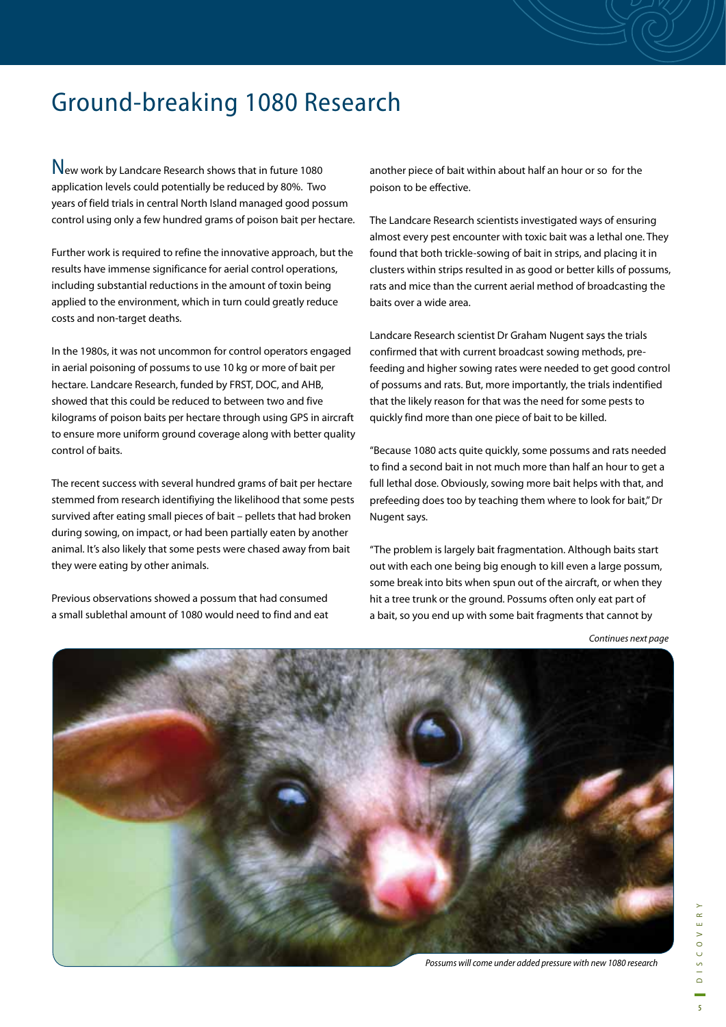### Ground-breaking 1080 Research

New work by Landcare Research shows that in future 1080 application levels could potentially be reduced by 80%. Two years of field trials in central North Island managed good possum control using only a few hundred grams of poison bait per hectare.

Further work is required to refine the innovative approach, but the results have immense significance for aerial control operations, including substantial reductions in the amount of toxin being applied to the environment, which in turn could greatly reduce costs and non-target deaths.

In the 1980s, it was not uncommon for control operators engaged in aerial poisoning of possums to use 10 kg or more of bait per hectare. Landcare Research, funded by FRST, DOC, and AHB, showed that this could be reduced to between two and five kilograms of poison baits per hectare through using GPS in aircraft to ensure more uniform ground coverage along with better quality control of baits.

The recent success with several hundred grams of bait per hectare stemmed from research identifiying the likelihood that some pests survived after eating small pieces of bait – pellets that had broken during sowing, on impact, or had been partially eaten by another animal. It's also likely that some pests were chased away from bait they were eating by other animals.

Previous observations showed a possum that had consumed a small sublethal amount of 1080 would need to find and eat another piece of bait within about half an hour or so for the poison to be effective.

The Landcare Research scientists investigated ways of ensuring almost every pest encounter with toxic bait was a lethal one. They found that both trickle-sowing of bait in strips, and placing it in clusters within strips resulted in as good or better kills of possums, rats and mice than the current aerial method of broadcasting the baits over a wide area.

Landcare Research scientist Dr Graham Nugent says the trials confirmed that with current broadcast sowing methods, prefeeding and higher sowing rates were needed to get good control of possums and rats. But, more importantly, the trials indentified that the likely reason for that was the need for some pests to quickly find more than one piece of bait to be killed.

"Because 1080 acts quite quickly, some possums and rats needed to find a second bait in not much more than half an hour to get a full lethal dose. Obviously, sowing more bait helps with that, and prefeeding does too by teaching them where to look for bait," Dr Nugent says.

"The problem is largely bait fragmentation. Although baits start out with each one being big enough to kill even a large possum, some break into bits when spun out of the aircraft, or when they hit a tree trunk or the ground. Possums often only eat part of a bait, so you end up with some bait fragments that cannot by

Continues next page

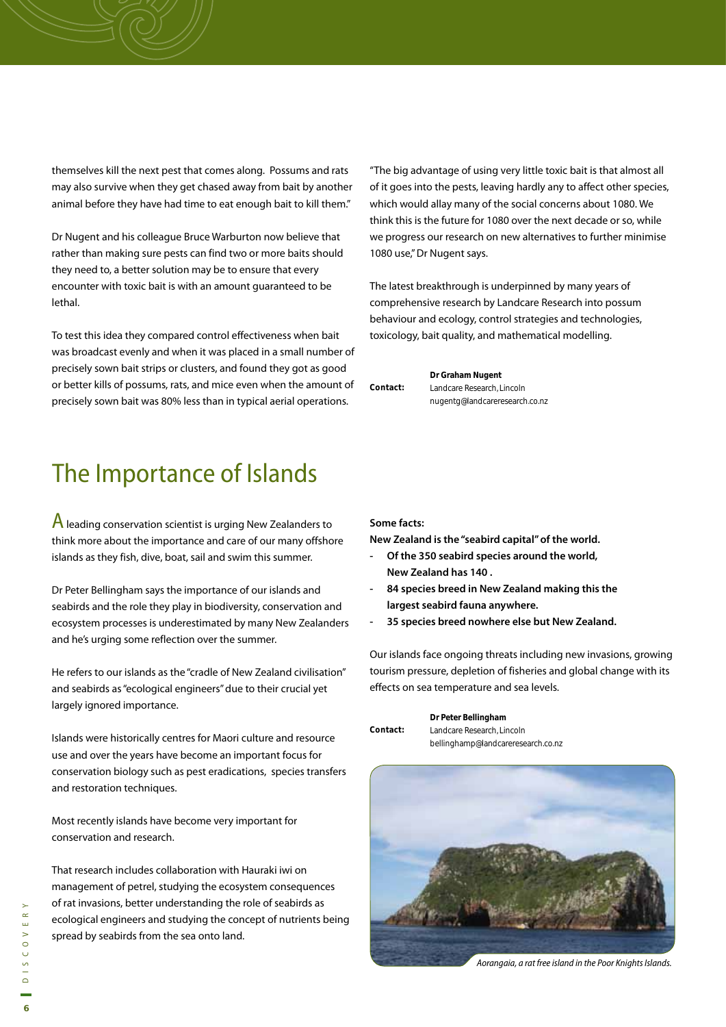themselves kill the next pest that comes along. Possums and rats may also survive when they get chased away from bait by another animal before they have had time to eat enough bait to kill them."

Dr Nugent and his colleague Bruce Warburton now believe that rather than making sure pests can find two or more baits should they need to, a better solution may be to ensure that every encounter with toxic bait is with an amount guaranteed to be lethal.

To test this idea they compared control effectiveness when bait was broadcast evenly and when it was placed in a small number of precisely sown bait strips or clusters, and found they got as good or better kills of possums, rats, and mice even when the amount of precisely sown bait was 80% less than in typical aerial operations.

## The Importance of Islands

 $\overline{A}$  leading conservation scientist is urging New Zealanders to think more about the importance and care of our many offshore islands as they fish, dive, boat, sail and swim this summer.

Dr Peter Bellingham says the importance of our islands and seabirds and the role they play in biodiversity, conservation and ecosystem processes is underestimated by many New Zealanders and he's urging some reflection over the summer.

He refers to our islands as the "cradle of New Zealand civilisation" and seabirds as "ecological engineers" due to their crucial yet largely ignored importance.

Islands were historically centres for Maori culture and resource use and over the years have become an important focus for conservation biology such as pest eradications, species transfers and restoration techniques.

Most recently islands have become very important for conservation and research.

That research includes collaboration with Hauraki iwi on management of petrel, studying the ecosystem consequences of rat invasions, better understanding the role of seabirds as ecological engineers and studying the concept of nutrients being spread by seabirds from the sea onto land.

"The big advantage of using very little toxic bait is that almost all of it goes into the pests, leaving hardly any to affect other species, which would allay many of the social concerns about 1080. We think this is the future for 1080 over the next decade or so, while we progress our research on new alternatives to further minimise 1080 use," Dr Nugent says.

The latest breakthrough is underpinned by many years of comprehensive research by Landcare Research into possum behaviour and ecology, control strategies and technologies, toxicology, bait quality, and mathematical modelling.

|          | Dr Graham Nugent               |  |
|----------|--------------------------------|--|
| Contact: | Landcare Research, Lincoln     |  |
|          | nugentg@landcareresearch.co.nz |  |

#### **Some facts:**

**New Zealand is the "seabird capital" of the world.** 

- **Of the 350 seabird species around the world, New Zealand has 140 .**
- **84 species breed in New Zealand making this the largest seabird fauna anywhere.**
- **35 species breed nowhere else but New Zealand.**

Our islands face ongoing threats including new invasions, growing tourism pressure, depletion of fisheries and global change with its effects on sea temperature and sea levels.

|          | Dr Peter Bellingham                |  |
|----------|------------------------------------|--|
| Contact: | Landcare Research, Lincoln         |  |
|          | bellinghamp@landcareresearch.co.nz |  |



Aorangaia, a rat free island in the Poor Knights Islands.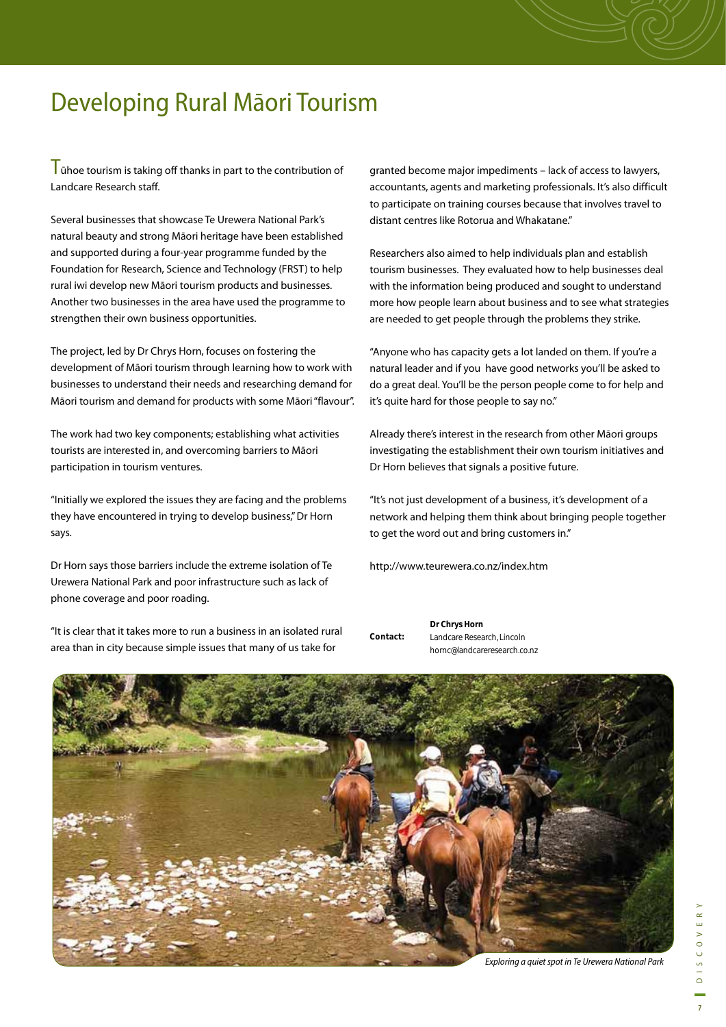## Developing Rural Māori Tourism

 $\mathsf{T}$ ūhoe tourism is taking off thanks in part to the contribution of Landcare Research staff.

Several businesses that showcase Te Urewera National Park's natural beauty and strong Māori heritage have been established and supported during a four-year programme funded by the Foundation for Research, Science and Technology (FRST) to help rural iwi develop new Māori tourism products and businesses. Another two businesses in the area have used the programme to strengthen their own business opportunities.

The project, led by Dr Chrys Horn, focuses on fostering the development of Māori tourism through learning how to work with businesses to understand their needs and researching demand for Māori tourism and demand for products with some Māori "flavour".

The work had two key components; establishing what activities tourists are interested in, and overcoming barriers to Māori participation in tourism ventures.

"Initially we explored the issues they are facing and the problems they have encountered in trying to develop business," Dr Horn says.

Dr Horn says those barriers include the extreme isolation of Te Urewera National Park and poor infrastructure such as lack of phone coverage and poor roading.

"It is clear that it takes more to run a business in an isolated rural area than in city because simple issues that many of us take for

granted become major impediments – lack of access to lawyers, accountants, agents and marketing professionals. It's also difficult to participate on training courses because that involves travel to distant centres like Rotorua and Whakatane."

Researchers also aimed to help individuals plan and establish tourism businesses. They evaluated how to help businesses deal with the information being produced and sought to understand more how people learn about business and to see what strategies are needed to get people through the problems they strike.

"Anyone who has capacity gets a lot landed on them. If you're a natural leader and if you have good networks you'll be asked to do a great deal. You'll be the person people come to for help and it's quite hard for those people to say no."

Already there's interest in the research from other Māori groups investigating the establishment their own tourism initiatives and Dr Horn believes that signals a positive future.

"It's not just development of a business, it's development of a network and helping them think about bringing people together to get the word out and bring customers in."

http://www.teurewera.co.nz/index.htm

**Dr Chrys Horn** Landcare Research, Lincoln hornc@landcareresearch.co.nz **Contact:**